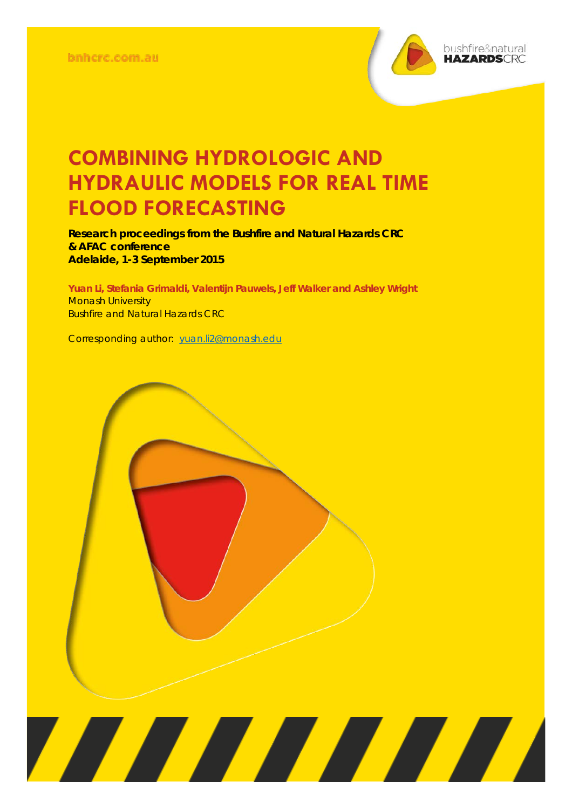

## **COMBINING HYDROLOGIC AND HYDRAULIC MODELS FOR REAL TIME FLOOD FORECASTING**

**Research proceedings from the Bushfire and Natural Hazards CRC & AFAC conference Adelaide, 1-3 September 2015**

**Yuan Li, Stefania Grimaldi, Valentijn Pauwels, Jeff Walker and Ashley Wright Monash University** Bushfire and Natural Hazards CRC

Corresponding author: [yuan.li2@monash.edu](mailto:yuan.li2@monash.edu)

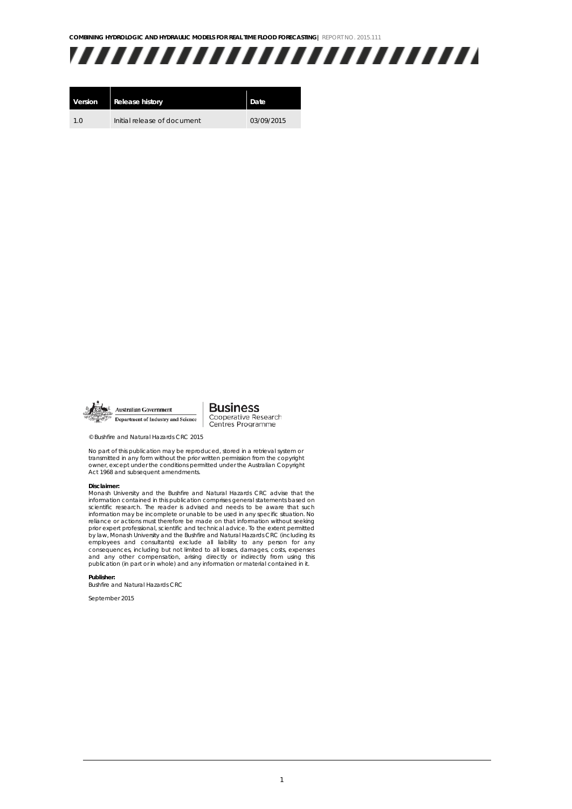**COMBINING HYDROLOGIC AND HYDRAULIC MODELS FOR REAL TIME FLOOD FORECASTING|** REPORT NO. 2015.111



| Version | <b>Release history</b>      | Date       |
|---------|-----------------------------|------------|
| 10      | Initial release of document | 03/09/2015 |



**Business Australian Government** Cooperative Research<br>Centres Programme Department of Industry and Science

© Bushfire and Natural Hazards CRC 2015

No part of this publication may be reproduced, stored in a retrieval system or transmitted in any form without the prior written permission from the copyright owner, except under the conditions permitted under the Australian Copyright Act 1968 and subsequent amendments.

## **Disclaimer:**

Monash University and the Bushfire and Natural Hazards CRC advise that the information contained in this publication comprises general statements based on scientific research. The reader is advised and needs to be aware that such information may be incomplete or unable to be used in any specific situation. No reliance or actions must therefore be made on that information without seeking prior expert professional, scientific and technical advice. To the extent permitted by law, Monash University and the Bushfire and Natural Hazards CRC (including its employees and consultants) exclude all liability to any person for any consequences, including but not limited to all losses, damages, costs, expenses and any other compensation, arising directly or indirectly from using this publication (in part or in whole) and any information or material contained in it.

**Publisher:**

Bushfire and Natural Hazards CRC

September 2015